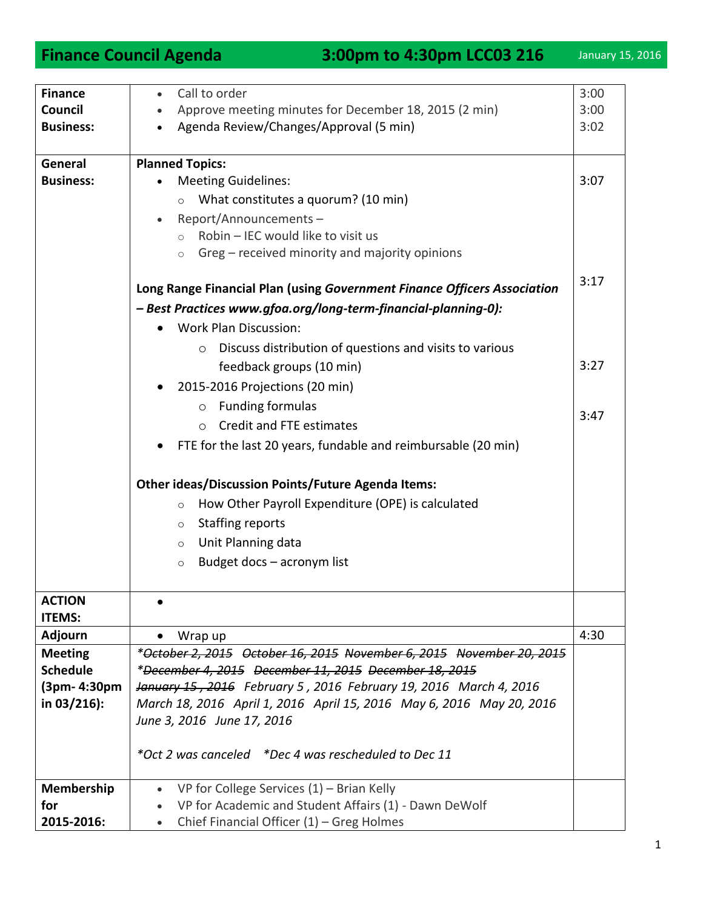| <b>Finance</b>   | Call to order                                                            | 3:00 |
|------------------|--------------------------------------------------------------------------|------|
| Council          | Approve meeting minutes for December 18, 2015 (2 min)                    | 3:00 |
| <b>Business:</b> | Agenda Review/Changes/Approval (5 min)                                   | 3:02 |
|                  |                                                                          |      |
| General          | <b>Planned Topics:</b>                                                   |      |
| <b>Business:</b> | <b>Meeting Guidelines:</b>                                               | 3:07 |
|                  | What constitutes a quorum? (10 min)                                      |      |
|                  | $\circ$                                                                  |      |
|                  | Report/Announcements-                                                    |      |
|                  | Robin - IEC would like to visit us<br>$\circ$                            |      |
|                  | Greg - received minority and majority opinions<br>$\circ$                |      |
|                  |                                                                          | 3:17 |
|                  | Long Range Financial Plan (using Government Finance Officers Association |      |
|                  | - Best Practices www.gfoa.org/long-term-financial-planning-0):           |      |
|                  | <b>Work Plan Discussion:</b>                                             |      |
|                  | Discuss distribution of questions and visits to various<br>O             |      |
|                  | feedback groups (10 min)                                                 | 3:27 |
|                  | 2015-2016 Projections (20 min)                                           |      |
|                  |                                                                          |      |
|                  | $\circ$ Funding formulas                                                 | 3:47 |
|                  | Credit and FTE estimates<br>$\circ$                                      |      |
|                  | FTE for the last 20 years, fundable and reimbursable (20 min)            |      |
|                  |                                                                          |      |
|                  | <b>Other ideas/Discussion Points/Future Agenda Items:</b>                |      |
|                  | How Other Payroll Expenditure (OPE) is calculated<br>$\circ$             |      |
|                  | <b>Staffing reports</b><br>$\circ$                                       |      |
|                  | Unit Planning data<br>$\circ$                                            |      |
|                  |                                                                          |      |
|                  | Budget docs - acronym list<br>$\circ$                                    |      |
|                  |                                                                          |      |
| <b>ACTION</b>    |                                                                          |      |
| <b>ITEMS:</b>    |                                                                          |      |
| <b>Adjourn</b>   | Wrap up                                                                  | 4:30 |
| <b>Meeting</b>   | *October 2, 2015 October 16, 2015 November 6, 2015 November 20, 2015     |      |
| <b>Schedule</b>  | *December 4, 2015 December 11, 2015 December 18, 2015                    |      |
| (3pm- 4:30pm     | January 15, 2016 February 5, 2016 February 19, 2016 March 4, 2016        |      |
| in 03/216):      | March 18, 2016 April 1, 2016 April 15, 2016 May 6, 2016 May 20, 2016     |      |
|                  | June 3, 2016 June 17, 2016                                               |      |
|                  |                                                                          |      |
|                  | *Oct 2 was canceled *Dec 4 was rescheduled to Dec 11                     |      |
|                  |                                                                          |      |
| Membership       | VP for College Services $(1)$ – Brian Kelly                              |      |
| for              | VP for Academic and Student Affairs (1) - Dawn DeWolf                    |      |
| 2015-2016:       | Chief Financial Officer $(1)$ – Greg Holmes<br>$\bullet$                 |      |